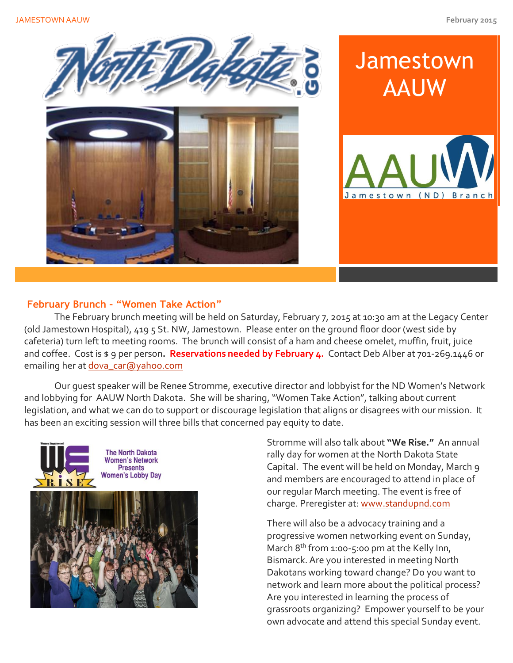

## **February Brunch – "Women Take Action"**

The February brunch meeting will be held on Saturday, February 7, 2015 at 10:30 am at the Legacy Center (old Jamestown Hospital), 419 5 St. NW, Jamestown. Please enter on the ground floor door (west side by cafeteria) turn left to meeting rooms. The brunch will consist of a ham and cheese omelet, muffin, fruit, juice and coffee. Cost is \$ 9 per person**. Reservations needed by February 4.** Contact Deb Alber at 701-269.1446 or emailing her at [dova\\_car@yahoo.com](mailto:dova_car@yahoo.com)

Our guest speaker will be Renee Stromme, executive director and lobbyist for the ND Women's Network and lobbying for AAUW North Dakota. She will be sharing, "Women Take Action", talking about current legislation, and what we can do to support or discourage legislation that aligns or disagrees with our mission. It has been an exciting session will three bills that concerned pay equity to date.



**The North Dakota Women's Network Presents Women's Lobby Day** 



Stromme will also talk about **"We Rise."** An annual rally day for women at the North Dakota State Capital. The event will be held on Monday, March 9 and members are encouraged to attend in place of our regular March meeting. The event is free of charge. Preregister at: [www.standupnd.com](http://www.standupnd.com/)

There will also be a advocacy training and a progressive women networking event on Sunday, March 8<sup>th</sup> from 1:00-5:00 pm at the Kelly Inn, Bismarck. Are you interested in meeting North Dakotans working toward change? Do you want to network and learn more about the political process? Are you interested in learning the process of grassroots organizing? Empower yourself to be your own advocate and attend this special Sunday event.